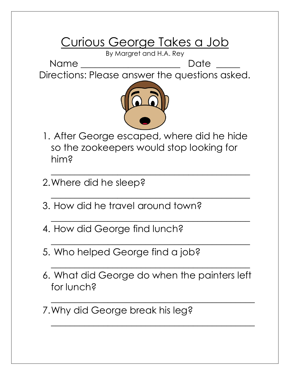## Curious George Takes a Job

By Margret and H.A. Rey

Name \_\_\_\_\_\_\_\_\_\_\_\_\_\_\_\_\_\_\_\_\_ Date \_\_\_\_\_ Directions: Please answer the questions asked.



1. After George escaped, where did he hide so the zookeepers would stop looking for him?

 $\mathcal{L}_\text{max}$  and  $\mathcal{L}_\text{max}$  and  $\mathcal{L}_\text{max}$  and  $\mathcal{L}_\text{max}$  and  $\mathcal{L}_\text{max}$  and  $\mathcal{L}_\text{max}$ 

 $\mathcal{L}_\text{max}$  and  $\mathcal{L}_\text{max}$  and  $\mathcal{L}_\text{max}$  and  $\mathcal{L}_\text{max}$  and  $\mathcal{L}_\text{max}$  and  $\mathcal{L}_\text{max}$ 

 $\mathcal{L}_\text{max}$  and  $\mathcal{L}_\text{max}$  and  $\mathcal{L}_\text{max}$  and  $\mathcal{L}_\text{max}$  and  $\mathcal{L}_\text{max}$  and  $\mathcal{L}_\text{max}$ 

 $\mathcal{L}_\text{max}$  and  $\mathcal{L}_\text{max}$  and  $\mathcal{L}_\text{max}$  and  $\mathcal{L}_\text{max}$  and  $\mathcal{L}_\text{max}$  and  $\mathcal{L}_\text{max}$ 

 $\mathcal{L}_\text{max}$  and  $\mathcal{L}_\text{max}$  and  $\mathcal{L}_\text{max}$  and  $\mathcal{L}_\text{max}$  and  $\mathcal{L}_\text{max}$  and  $\mathcal{L}_\text{max}$ 

- 2.Where did he sleep?
- 3. How did he travel around town?
- 4. How did George find lunch?
- 5. Who helped George find a job?
- 6. What did George do when the painters left for lunch?

 $\mathcal{L}_\text{max}$  , and the contract of the contract of the contract of the contract of the contract of the contract of the contract of the contract of the contract of the contract of the contract of the contract of the contr

 $\mathcal{L}_\text{max}$  , and the contract of the contract of the contract of the contract of the contract of the contract of the contract of the contract of the contract of the contract of the contract of the contract of the contr

7.Why did George break his leg?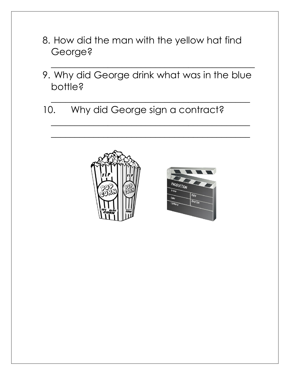- 8. How did the man with the yellow hat find George?
- 9. Why did George drink what was in the blue bottle?

 $\mathcal{L}_\text{max}$  and  $\mathcal{L}_\text{max}$  and  $\mathcal{L}_\text{max}$  and  $\mathcal{L}_\text{max}$  and  $\mathcal{L}_\text{max}$  and  $\mathcal{L}_\text{max}$ 

 $\mathcal{L}_\text{max}$  and  $\mathcal{L}_\text{max}$  and  $\mathcal{L}_\text{max}$  and  $\mathcal{L}_\text{max}$  and  $\mathcal{L}_\text{max}$  and  $\mathcal{L}_\text{max}$ 

 $\mathcal{L}_\text{max}$  and  $\mathcal{L}_\text{max}$  and  $\mathcal{L}_\text{max}$  and  $\mathcal{L}_\text{max}$  and  $\mathcal{L}_\text{max}$  and  $\mathcal{L}_\text{max}$ 

 $\mathcal{L}_\text{max}$  , and the contract of the contract of the contract of the contract of the contract of the contract of the contract of the contract of the contract of the contract of the contract of the contract of the contr

10. Why did George sign a contract?